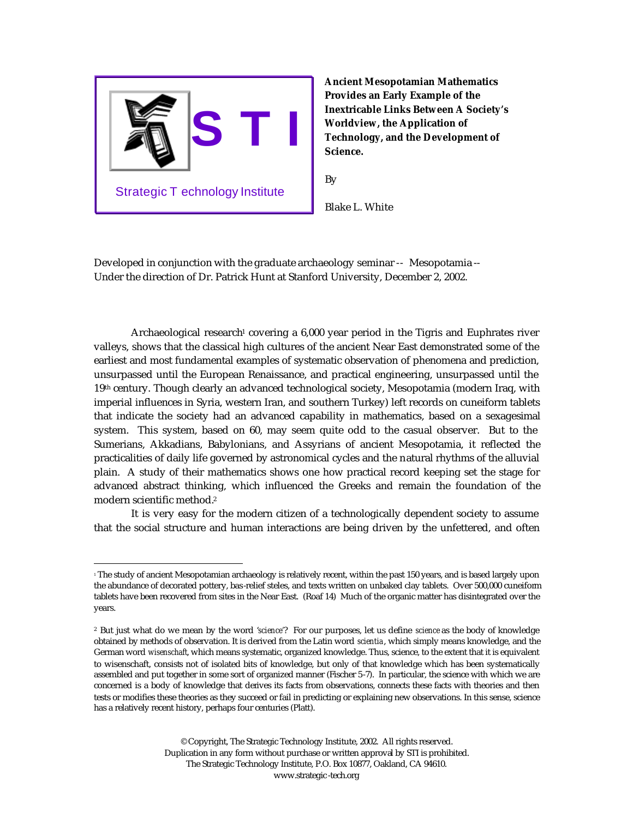

**Ancient Mesopotamian Mathematics Provides an Early Example of the Inextricable Links Between A Society's Worldview, the Application of Technology, and the Development of Science.**

By

Blake L. White

Developed in conjunction with the graduate archaeology seminar -- Mesopotamia -- Under the direction of Dr. Patrick Hunt at Stanford University, December 2, 2002.

Archaeological research<sup>1</sup> covering a  $6,000$  year period in the Tigris and Euphrates river valleys, shows that the classical high cultures of the ancient Near East demonstrated some of the earliest and most fundamental examples of systematic observation of phenomena and prediction, unsurpassed until the European Renaissance, and practical engineering, unsurpassed until the 19th century. Though clearly an advanced technological society, Mesopotamia (modern Iraq, with imperial influences in Syria, western Iran, and southern Turkey) left records on cuneiform tablets that indicate the society had an advanced capability in mathematics, based on a sexagesimal system. This system, based on 60, may seem quite odd to the casual observer. But to the Sumerians, Akkadians, Babylonians, and Assyrians of ancient Mesopotamia, it reflected the practicalities of daily life governed by astronomical cycles and the natural rhythms of the alluvial plain. A study of their mathematics shows one how practical record keeping set the stage for advanced abstract thinking, which influenced the Greeks and remain the foundation of the modern scientific method.<sup>2</sup>

It is very easy for the modern citizen of a technologically dependent society to assume that the social structure and human interactions are being driven by the unfettered, and often

<sup>1</sup> The study of ancient Mesopotamian archaeology is relatively recent, within the past 150 years, and is based largely upon the abundance of decorated pottery, bas-relief steles, and texts written on unbaked clay tablets. Over 500,000 cuneiform tablets have been recovered from sites in the Near East. (Roaf 14) Much of the organic matter has disintegrated over the years.

<sup>2</sup> But just what do we mean by the word '*science'*? For our purposes, let us define *science* as the body of knowledge obtained by methods of observation. It is derived from the Latin word *scientia*, which simply means knowledge, and the German word *wisenschaft*, which means systematic, organized knowledge. Thus, science, to the extent that it is equivalent to wisenschaft, consists not of isolated bits of knowledge, but only of that knowledge which has been systematically assembled and put together in some sort of organized manner (Fischer 5-7). In particular, the science with which we are concerned is a body of knowledge that derives its facts from observations, connects these facts with theories and then tests or modifies these theories as they succeed or fail in predicting or explaining new observations. In this sense, science has a relatively recent history, perhaps four centuries (Platt).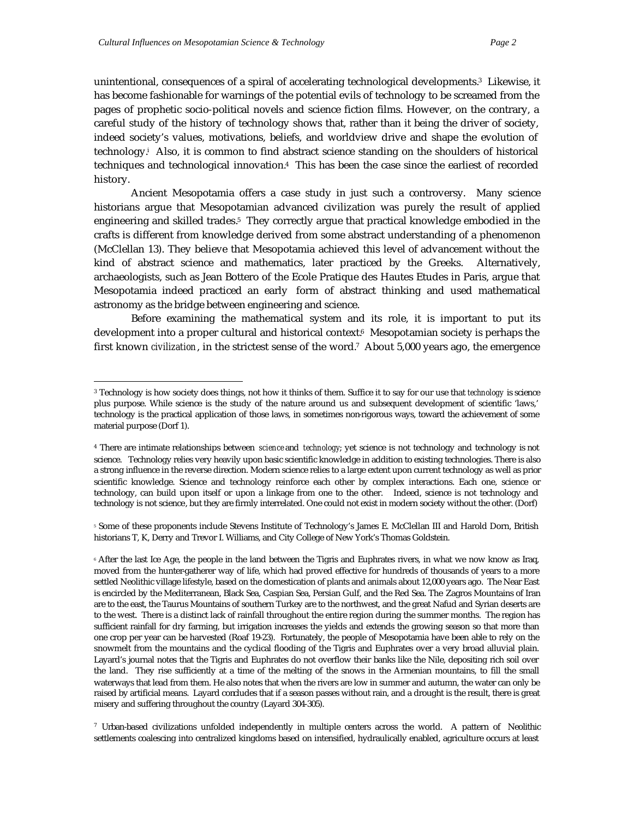unintentional, consequences of a spiral of accelerating technological developments.3 Likewise, it has become fashionable for warnings of the potential evils of technology to be screamed from the pages of prophetic socio-political novels and science fiction films. However, on the contrary, a careful study of the history of technology shows that, rather than it being the driver of society, indeed society's values, motivations, beliefs, and worldview drive and shape the evolution of technology.<sup>i</sup> Also, it is common to find abstract science standing on the shoulders of historical techniques and technological innovation.4 This has been the case since the earliest of recorded history.

Ancient Mesopotamia offers a case study in just such a controversy. Many science historians argue that Mesopotamian advanced civilization was purely the result of applied engineering and skilled trades.5 They correctly argue that practical knowledge embodied in the crafts is different from knowledge derived from some abstract understanding of a phenomenon (McClellan 13). They believe that Mesopotamia achieved this level of advancement without the kind of abstract science and mathematics, later practiced by the Greeks. Alternatively, archaeologists, such as Jean Bottero of the Ecole Pratique des Hautes Etudes in Paris, argue that Mesopotamia indeed practiced an early form of abstract thinking and used mathematical astronomy as the bridge between engineering and science.

Before examining the mathematical system and its role, it is important to put its development into a proper cultural and historical context.<sup>6</sup> Mesopotamian society is perhaps the first known *civilization*, in the strictest sense of the word.7 About 5,000 years ago, the emergence

<sup>5</sup> Some of these proponents include Stevens Institute of Technology's James E. McClellan III and Harold Dorn, British historians T, K, Derry and Trevor I. Williams, and City College of New York's Thomas Goldstein.

7 Urban-based civilizations unfolded independently in multiple centers across the world. A pattern of Neolithic settlements coalescing into centralized kingdoms based on intensified, hydraulically enabled, agriculture occurs at least

<sup>3</sup> Technology is how society does things, not how it thinks of them. Suffice it to say for our use that *technology* is science plus purpose. While science is the study of the nature around us and subsequent development of scientific 'laws,' technology is the practical application of those laws, in sometimes non-rigorous ways, toward the achievement of some material purpose (Dorf 1).

<sup>4</sup> There are intimate relationships between *science* and *technology*; yet science is not technology and technology is not science. Technology relies very heavily upon basic scientific knowledge in addition to existing technologies. There is also a strong influence in the reverse direction. Modern science relies to a large extent upon current technology as well as prior scientific knowledge. Science and technology reinforce each other by complex interactions. Each one, science or technology, can build upon itself or upon a linkage from one to the other. Indeed, science is not technology and technology is not science, but they are firmly interrelated. One could not exist in modern society without the other. (Dorf)

<sup>6</sup> After the last Ice Age, the people in the land between the Tigris and Euphrates rivers, in what we now know as Iraq, moved from the hunter-gatherer way of life, which had proved effective for hundreds of thousands of years to a more settled Neolithic village lifestyle, based on the domestication of plants and animals about 12,000 years ago. The Near East is encircled by the Mediterranean, Black Sea, Caspian Sea, Persian Gulf, and the Red Sea. The Zagros Mountains of Iran are to the east, the Taurus Mountains of southern Turkey are to the northwest, and the great Nafud and Syrian deserts are to the west. There is a distinct lack of rainfall throughout the entire region during the summer months. The region has sufficient rainfall for dry farming, but irrigation increases the yields and extends the growing season so that more than one crop per year can be harvested (Roaf 19-23). Fortunately, the people of Mesopotamia have been able to rely on the snowmelt from the mountains and the cyclical flooding of the Tigris and Euphrates over a very broad alluvial plain. Layard's journal notes that the Tigris and Euphrates do not overflow their banks like the Nile, depositing rich soil over the land. They rise sufficiently at a time of the melting of the snows in the Armenian mountains, to fill the small waterways that lead from them. He also notes that when the rivers are low in summer and autumn, the water can only be raised by artificial means. Layard concludes that if a season passes without rain, and a drought is the result, there is great misery and suffering throughout the country (Layard 304-305).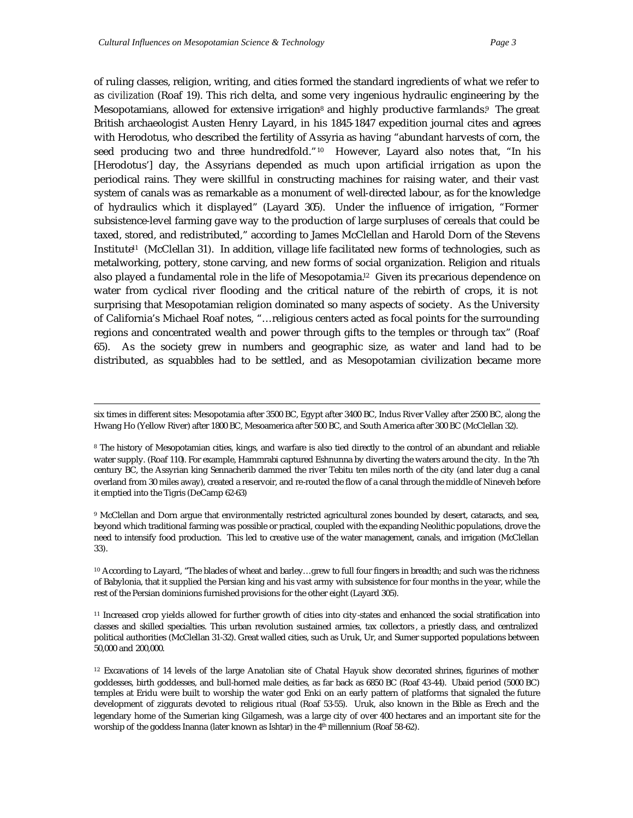of ruling classes, religion, writing, and cities formed the standard ingredients of what we refer to as *civilization* (Roaf 19). This rich delta, and some very ingenious hydraulic engineering by the Mesopotamians, allowed for extensive irrigation<sup>8</sup> and highly productive farmlands.<sup>9</sup> The great British archaeologist Austen Henry Layard, in his 1845-1847 expedition journal cites and agrees with Herodotus, who described the fertility of Assyria as having "abundant harvests of corn, the seed producing two and three hundredfold."10 However, Layard also notes that, "In his [Herodotus'] day, the Assyrians depended as much upon artificial irrigation as upon the periodical rains. They were skillful in constructing machines for raising water, and their vast system of canals was as remarkable as a monument of well-directed labour, as for the knowledge of hydraulics which it displayed" (Layard 305). Under the influence of irrigation, "Former subsistence-level farming gave way to the production of large surpluses of cereals that could be taxed, stored, and redistributed," according to James McClellan and Harold Dorn of the Stevens Institute<sup>1</sup> (McClellan 31). In addition, village life facilitated new forms of technologies, such as metalworking, pottery, stone carving, and new forms of social organization. Religion and rituals also played a fundamental role in the life of Mesopotamia.12 Given its pr ecarious dependence on water from cyclical river flooding and the critical nature of the rebirth of crops, it is not surprising that Mesopotamian religion dominated so many aspects of society. As the University of California's Michael Roaf notes, "…religious centers acted as focal points for the surrounding regions and concentrated wealth and power through gifts to the temples or through tax" (Roaf 65). As the society grew in numbers and geographic size, as water and land had to be distributed, as squabbles had to be settled, and as Mesopotamian civilization became more

9 McClellan and Dorn argue that environmentally restricted agricultural zones bounded by desert, cataracts, and sea, beyond which traditional farming was possible or practical, coupled with the expanding Neolithic populations, drove the need to intensify food production. This led to creative use of the water management, canals, and irrigation (McClellan 33).

<sup>10</sup> According to Layard, "The blades of wheat and barley…grew to full four fingers in breadth; and such was the richness of Babylonia, that it supplied the Persian king and his vast army with subsistence for four months in the year, while the rest of the Persian dominions furnished provisions for the other eight (Layard 305).

<sup>11</sup> Increased crop yields allowed for further growth of cities into city-states and enhanced the social stratification into classes and skilled specialties. This urban revolution sustained armies, tax collectors , a priestly class, and centralized political authorities (McClellan 31-32). Great walled cities, such as Uruk, Ur, and Sumer supported populations between 50,000 and 200,000.

<sup>12</sup> Excavations of 14 levels of the large Anatolian site of Chatal Hayuk show decorated shrines, figurines of mother goddesses, birth goddesses, and bull-horned male deities, as far back as 6850 BC (Roaf 43-44). Ubaid period (5000 BC) temples at Eridu were built to worship the water god Enki on an early pattern of platforms that signaled the future development of ziggurats devoted to religious ritual (Roaf 53-55). Uruk, also known in the Bible as Erech and the legendary home of the Sumerian king Gilgamesh, was a large city of over 400 hectares and an important site for the worship of the goddess Inanna (later known as Ishtar) in the 4<sup>th</sup> millennium (Roaf 58-62).

six times in different sites: Mesopotamia after 3500 BC, Egypt after 3400 BC, Indus River Valley after 2500 BC, along the Hwang Ho (Yellow River) after 1800 BC, Mesoamerica after 500 BC, and South America after 300 BC (McClellan 32).

<sup>8</sup> The history of Mesopotamian cities, kings, and warfare is also tied directly to the control of an abundant and reliable water supply. (Roaf 110). For example, Hammrabi captured Eshnunna by diverting the waters around the city. In the 7th century BC, the Assyrian king Sennacherib dammed the river Tebitu ten miles north of the city (and later dug a canal overland from 30 miles away), created a reservoir, and re-routed the flow of a canal through the middle of Nineveh before it emptied into the Tigris (DeCamp 62-63)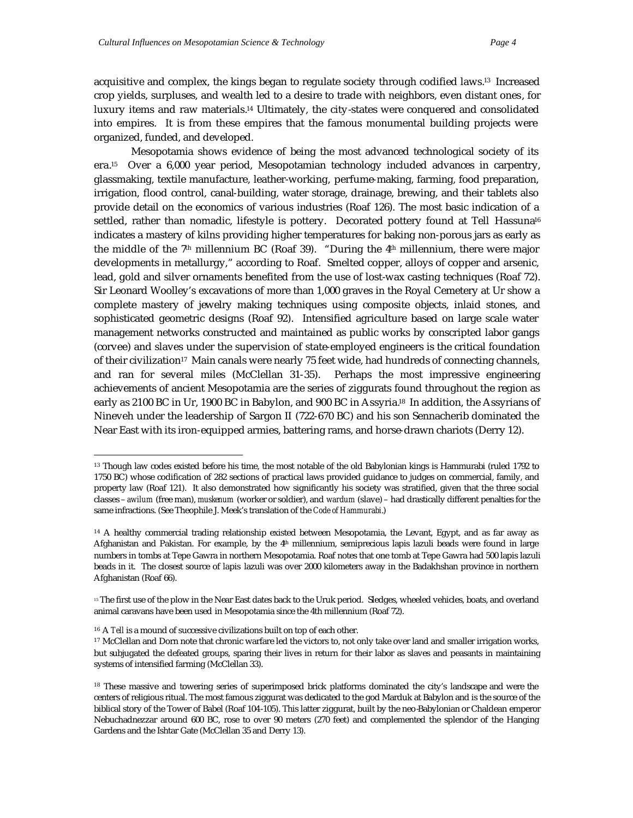acquisitive and complex, the kings began to regulate society through codified laws.13 Increased crop yields, surpluses, and wealth led to a desire to trade with neighbors, even distant ones, for luxury items and raw materials.14 Ultimately, the city-states were conquered and consolidated into empires. It is from these empires that the famous monumental building projects were organized, funded, and developed.

Mesopotamia shows evidence of being the most advanced technological society of its era.15 Over a 6,000 year period, Mesopotamian technology included advances in carpentry, glassmaking, textile manufacture, leather-working, perfume-making, farming, food preparation, irrigation, flood control, canal-building, water storage, drainage, brewing, and their tablets also provide detail on the economics of various industries (Roaf 126). The most basic indication of a settled, rather than nomadic, lifestyle is pottery. Decorated pottery found at Tell Hassuna<sup>16</sup> indicates a mastery of kilns providing higher temperatures for baking non-porous jars as early as the middle of the 7<sup>th</sup> millennium BC (Roaf 39). "During the 4<sup>th</sup> millennium, there were major developments in metallurgy," according to Roaf. Smelted copper, alloys of copper and arsenic, lead, gold and silver ornaments benefited from the use of lost-wax casting techniques (Roaf 72). Sir Leonard Woolley's excavations of more than 1,000 graves in the Royal Cemetery at Ur show a complete mastery of jewelry making techniques using composite objects, inlaid stones, and sophisticated geometric designs (Roaf 92). Intensified agriculture based on large scale water management networks constructed and maintained as public works by conscripted labor gangs (corvee) and slaves under the supervision of state-employed engineers is the critical foundation of their civilization<sup>17</sup> Main canals were nearly 75 feet wide, had hundreds of connecting channels, and ran for several miles (McClellan 31-35). Perhaps the most impressive engineering achievements of ancient Mesopotamia are the series of ziggurats found throughout the region as early as 2100 BC in Ur, 1900 BC in Babylon, and 900 BC in Assyria.18 In addition, the Assyrians of Nineveh under the leadership of Sargon II (722-670 BC) and his son Sennacherib dominated the Near East with its iron-equipped armies, battering rams, and horse-drawn chariots (Derry 12).

<sup>&</sup>lt;sup>13</sup> Though law codes existed before his time, the most notable of the old Babylonian kings is Hammurabi (ruled 1792 to 1750 BC) whose codification of 282 sections of practical laws provided guidance to judges on commercial, family, and property law (Roaf 121). It also demonstrated how significantly his society was stratified, given that the three social classes – *awilum* (free man), *muskenum* (worker or soldier), and *wardum* (slave) – had drastically different penalties for the same infractions. (See Theophile J. Meek's translation of the *Code of Hammurabi*.)

<sup>&</sup>lt;sup>14</sup> A healthy commercial trading relationship existed between Mesopotamia, the Levant, Egypt, and as far away as Afghanistan and Pakistan. For example, by the 4<sup>th</sup> millennium, semiprecious lapis lazuli beads were found in large numbers in tombs at Tepe Gawra in northern Mesopotamia. Roaf notes that one tomb at Tepe Gawra had 500 lapis lazuli beads in it. The closest source of lapis lazuli was over 2000 kilometers away in the Badakhshan province in northern Afghanistan (Roaf 66).

<sup>&</sup>lt;sup>15</sup> The first use of the plow in the Near East dates back to the Uruk period. Sledges, wheeled vehicles, boats, and overland animal caravans have been used in Mesopotamia since the 4th millennium (Roaf 72).

<sup>&</sup>lt;sup>16</sup> A *Tell* is a mound of successive civilizations built on top of each other.

<sup>&</sup>lt;sup>17</sup> McClellan and Dorn note that chronic warfare led the victors to, not only take over land and smaller irrigation works, but subjugated the defeated groups, sparing their lives in return for their labor as slaves and peasants in maintaining systems of intensified farming (McClellan 33).

<sup>&</sup>lt;sup>18</sup> These massive and towering series of superimposed brick platforms dominated the city's landscape and were the centers of religious ritual. The most famous ziggurat was dedicated to the god Marduk at Babylon and is the source of the biblical story of the Tower of Babel (Roaf 104-105). This latter ziggurat, built by the neo-Babylonian or Chaldean emperor Nebuchadnezzar around 600 BC, rose to over 90 meters (270 feet) and complemented the splendor of the Hanging Gardens and the Ishtar Gate (McClellan 35 and Derry 13).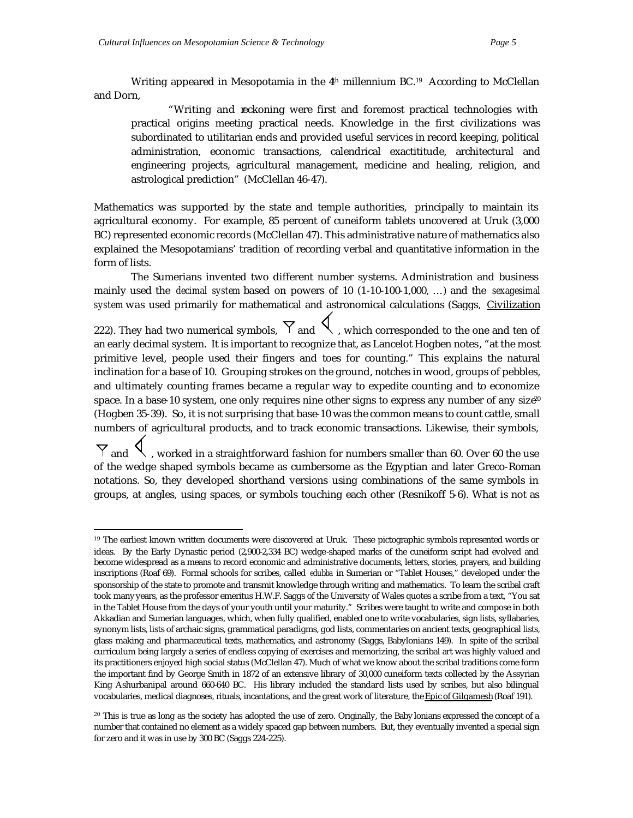Writing appeared in Mesopotamia in the  $4<sup>th</sup>$  millennium BC.<sup>19</sup> According to McClellan and Dorn,

"Writing and reckoning were first and foremost practical technologies with practical origins meeting practical needs. Knowledge in the first civilizations was subordinated to utilitarian ends and provided useful services in record keeping, political administration, economic transactions, calendrical exactititude, architectural and engineering projects, agricultural management, medicine and healing, religion, and astrological prediction" (McClellan 46-47).

Mathematics was supported by the state and temple authorities, principally to maintain its agricultural economy. For example, 85 percent of cuneiform tablets uncovered at Uruk (3,000 BC) represented economic records (McClellan 47). This administrative nature of mathematics also explained the Mesopotamians' tradition of recording verbal and quantitative information in the form of lists.

The Sumerians invented two different number systems. Administration and business mainly used the *decimal system* based on powers of 10 (1-10-100-1,000, …) and the *sexagesimal system* was used primarily for mathematical and astronomical calculations (Saggs, Civilization

222). They had two numerical symbols,  $\nabla$  and  $\mathcal{R}$ , which corresponded to the one and ten of an early decimal system. It is important to recognize that, as Lancelot Hogben notes, "at the most primitive level, people used their fingers and toes for counting." This explains the natural inclination for a base of 10. Grouping strokes on the ground, notches in wood, groups of pebbles, and ultimately counting frames became a regular way to expedite counting and to economize space. In a base-10 system, one only requires nine other signs to express any number of any size<sup>20</sup> (Hogben 35-39). So, it is not surprising that base-10 was the common means to count cattle, small numbers of agricultural products, and to track economic transactions. Likewise, their symbols,

 $\nabla$  and  $\nabla$ , worked in a straightforward fashion for numbers smaller than 60. Over 60 the use of the wedge shaped symbols became as cumbersome as the Egyptian and later Greco-Roman notations. So, they developed shorthand versions using combinations of the same symbols in groups, at angles, using spaces, or symbols touching each other (Resnikoff 5-6). What is not as

<sup>&</sup>lt;sup>19</sup> The earliest known written documents were discovered at Uruk. These pictographic symbols represented words or ideas. By the Early Dynastic period (2,900-2,334 BC) wedge-shaped marks of the cuneiform script had evolved and become widespread as a means to record economic and administrative documents, letters, stories, prayers, and building inscriptions (Roaf 69). Formal schools for scribes, called *edubba* in Sumerian or "Tablet Houses," developed under the sponsorship of the state to promote and transmit knowledge through writing and mathematics. To learn the scribal craft took many years, as the professor emeritus H.W.F. Saggs of the University of Wales quotes a scribe from a text, "You sat in the Tablet House from the days of your youth until your maturity." Scribes were taught to write and compose in both Akkadian and Sumerian languages, which, when fully qualified, enabled one to write vocabularies, sign lists, syllabaries, synonym lists, lists of archaic signs, grammatical paradigms, god lists, commentaries on ancient texts, geographical lists, glass making and pharmaceutical texts, mathematics, and astronomy (Saggs, Babylonians 149). In spite of the scribal curriculum being largely a series of endless copying of exercises and memorizing, the scribal art was highly valued and its practitioners enjoyed high social status (McClellan 47). Much of what we know about the scribal traditions come form the important find by George Smith in 1872 of an extensive library of 30,000 cuneiform texts collected by the Assyrian King Ashurbanipal around 660-640 BC. His library included the standard lists used by scribes, but also bilingual vocabularies, medical diagnoses, rituals, incantations, and the great work of literature, the Epic of Gilgamesh (Roaf 191).

<sup>&</sup>lt;sup>20</sup> This is true as long as the society has adopted the use of zero. Originally, the Baby lonians expressed the concept of a number that contained no element as a widely spaced gap between numbers. But, they eventually invented a special sign for zero and it was in use by 300 BC (Saggs 224-225).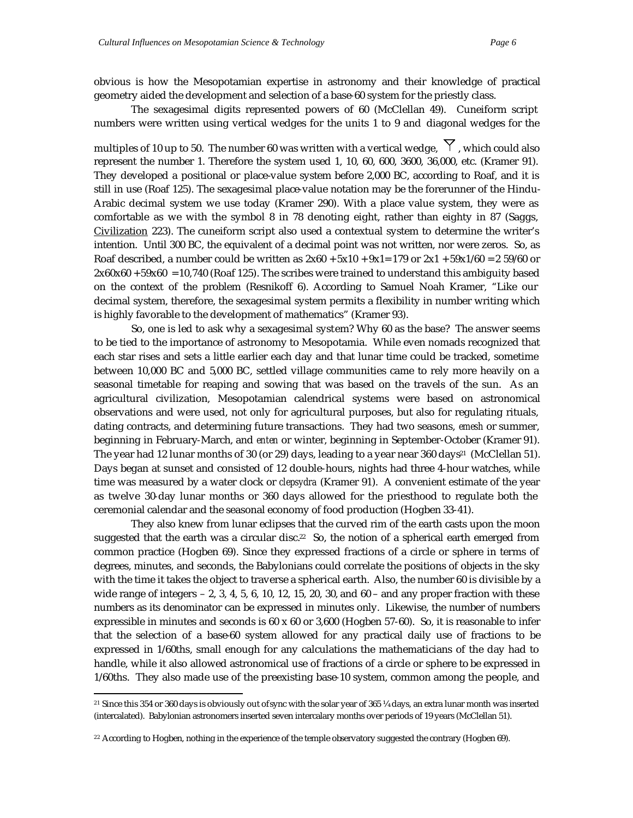obvious is how the Mesopotamian expertise in astronomy and their knowledge of practical geometry aided the development and selection of a base-60 system for the priestly class.

The sexagesimal digits represented powers of 60 (McClellan 49). Cuneiform script numbers were written using vertical wedges for the units 1 to 9 and diagonal wedges for the

multiples of 10 up to 50. The number 60 was written with a vertical wedge,  $\gamma$ , which could also represent the number 1. Therefore the system used 1, 10, 60, 600, 3600, 36,000, etc. (Kramer 91). They developed a positional or place-value system before 2,000 BC, according to Roaf, and it is still in use (Roaf 125). The sexagesimal place-value notation may be the forerunner of the Hindu-Arabic decimal system we use today (Kramer 290). With a place value system, they were as comfortable as we with the symbol 8 in 78 denoting eight, rather than eighty in 87 (Saggs, Civilization 223). The cuneiform script also used a contextual system to determine the writer's intention. Until 300 BC, the equivalent of a decimal point was not written, nor were zeros. So, as Roaf described, a number could be written as  $2x60 + 5x10 + 9x1 = 179$  or  $2x1 + 59x1/60 = 259/60$  or  $2x60x60 + 59x60 = 10,740$  (Roaf 125). The scribes were trained to understand this ambiguity based on the context of the problem (Resnikoff 6). According to Samuel Noah Kramer, "Like our decimal system, therefore, the sexagesimal system permits a flexibility in number writing which is highly favorable to the development of mathematics" (Kramer 93).

So, one is led to ask why a sexagesimal system? Why 60 as the base? The answer seems to be tied to the importance of astronomy to Mesopotamia. While even nomads recognized that each star rises and sets a little earlier each day and that lunar time could be tracked, sometime between 10,000 BC and 5,000 BC, settled village communities came to rely more heavily on a seasonal timetable for reaping and sowing that was based on the travels of the sun. As an agricultural civilization, Mesopotamian calendrical systems were based on astronomical observations and were used, not only for agricultural purposes, but also for regulating rituals, dating contracts, and determining future transactions. They had two seasons, *emesh* or summer, beginning in February-March, and *enten* or winter, beginning in September-October (Kramer 91). The year had 12 lunar months of 30 (or 29) days, leading to a year near 360 days<sup>21</sup> (McClellan 51). Days began at sunset and consisted of 12 double-hours, nights had three 4-hour watches, while time was measured by a water clock or *clepsydra* (Kramer 91). A convenient estimate of the year as twelve 30-day lunar months or 360 days allowed for the priesthood to regulate both the ceremonial calendar and the seasonal economy of food production (Hogben 33-41).

They also knew from lunar eclipses that the curved rim of the earth casts upon the moon suggested that the earth was a circular disc.<sup>22</sup> So, the notion of a spherical earth emerged from common practice (Hogben 69). Since they expressed fractions of a circle or sphere in terms of degrees, minutes, and seconds, the Babylonians could correlate the positions of objects in the sky with the time it takes the object to traverse a spherical earth. Also, the number 60 is divisible by a wide range of integers  $-2$ , 3, 4, 5, 6, 10, 12, 15, 20, 30, and 60 – and any proper fraction with these numbers as its denominator can be expressed in minutes only. Likewise, the number of numbers expressible in minutes and seconds is 60 x 60 or 3,600 (Hogben 57-60). So, it is reasonable to infer that the selection of a base-60 system allowed for any practical daily use of fractions to be expressed in 1/60ths, small enough for any calculations the mathematicians of the day had to handle, while it also allowed astronomical use of fractions of a circle or sphere to be expressed in 1/60ths. They also made use of the preexisting base-10 system, common among the people, and

<sup>&</sup>lt;sup>21</sup> Since this 354 or 360 days is obviously out of sync with the solar year of 365 ¼ days, an extra lunar month was inserted (intercalated). Babylonian astronomers inserted seven intercalary months over periods of 19 years (McClellan 51).

<sup>&</sup>lt;sup>22</sup> According to Hogben, nothing in the experience of the temple observatory suggested the contrary (Hogben 69).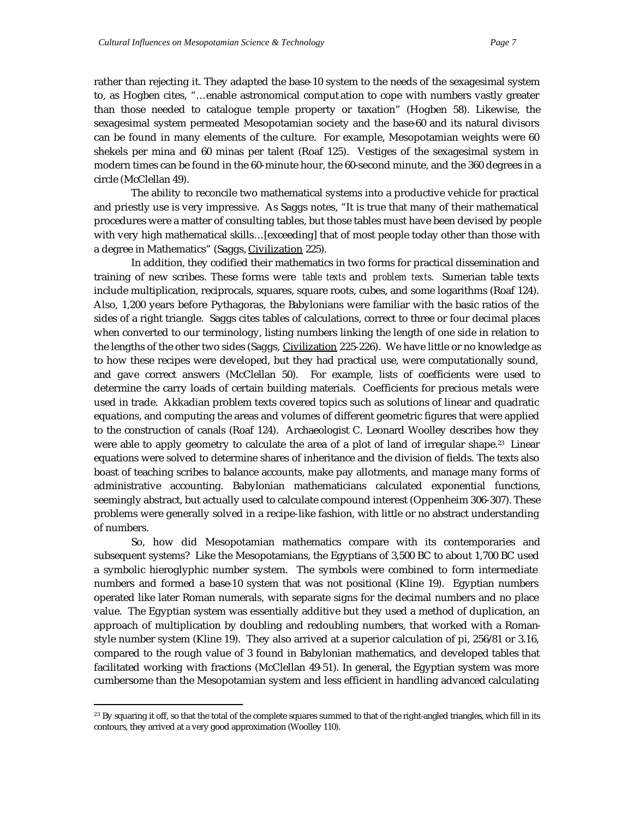rather than rejecting it. They adapted the base-10 system to the needs of the sexagesimal system to, as Hogben cites, "…enable astronomical comput ation to cope with numbers vastly greater than those needed to catalogue temple property or taxation" (Hogben 58). Likewise, the sexagesimal system permeated Mesopotamian society and the base-60 and its natural divisors can be found in many elements of the culture. For example, Mesopotamian weights were 60 shekels per mina and 60 minas per talent (Roaf 125). Vestiges of the sexagesimal system in modern times can be found in the 60-minute hour, the 60-second minute, and the 360 degrees in a circle (McClellan 49).

The ability to reconcile two mathematical systems into a productive vehicle for practical and priestly use is very impressive. As Saggs notes, "It is true that many of their mathematical procedures were a matter of consulting tables, but those tables must have been devised by people with very high mathematical skills…[exceeding] that of most people today other than those with a degree in Mathematics" (Saggs, Civilization 225).

In addition, they codified their mathematics in two forms for practical dissemination and training of new scribes. These forms were *table texts* and *problem texts*. Sumerian table texts include multiplication, reciprocals, squares, square roots, cubes, and some logarithms (Roaf 124). Also, 1,200 years before Pythagoras, the Babylonians were familiar with the basic ratios of the sides of a right triangle. Saggs cites tables of calculations, correct to three or four decimal places when converted to our terminology, listing numbers linking the length of one side in relation to the lengths of the other two sides (Saggs, *Civilization* 225-226). We have little or no knowledge as to how these recipes were developed, but they had practical use, were computationally sound, and gave correct answers (McClellan 50). For example, lists of coefficients were used to determine the carry loads of certain building materials. Coefficients for precious metals were used in trade. Akkadian problem texts covered topics such as solutions of linear and quadratic equations, and computing the areas and volumes of different geometric figures that were applied to the construction of canals (Roaf 124). Archaeologist C. Leonard Woolley describes how they were able to apply geometry to calculate the area of a plot of land of irregular shape.23 Linear equations were solved to determine shares of inheritance and the division of fields. The texts also boast of teaching scribes to balance accounts, make pay allotments, and manage many forms of administrative accounting. Babylonian mathematicians calculated exponential functions, seemingly abstract, but actually used to calculate compound interest (Oppenheim 306-307). These problems were generally solved in a recipe-like fashion, with little or no abstract understanding of numbers.

So, how did Mesopotamian mathematics compare with its contemporaries and subsequent systems? Like the Mesopotamians, the Egyptians of 3,500 BC to about 1,700 BC used a symbolic hieroglyphic number system. The symbols were combined to form intermediate numbers and formed a base-10 system that was not positional (Kline 19). Egyptian numbers operated like later Roman numerals, with separate signs for the decimal numbers and no place value. The Egyptian system was essentially additive but they used a method of duplication, an approach of multiplication by doubling and redoubling numbers, that worked with a Romanstyle number system (Kline 19). They also arrived at a superior calculation of pi, 256/81 or 3.16, compared to the rough value of 3 found in Babylonian mathematics, and developed tables that facilitated working with fractions (McClellan 49-51). In general, the Egyptian system was more cumbersome than the Mesopotamian system and less efficient in handling advanced calculating

<sup>&</sup>lt;sup>23</sup> By squaring it off, so that the total of the complete squares summed to that of the right-angled triangles, which fill in its contours, they arrived at a very good approximation (Woolley 110).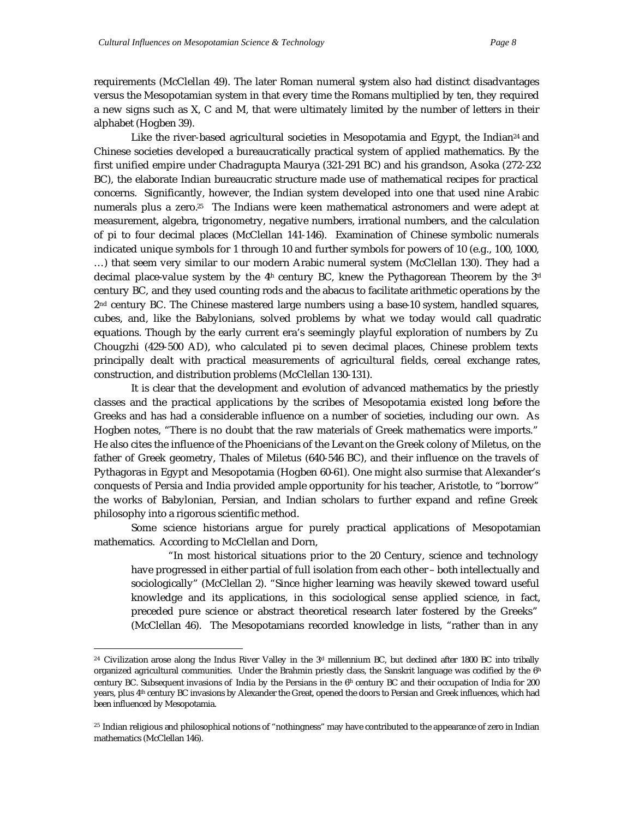requirements (McClellan 49). The later Roman numeral system also had distinct disadvantages versus the Mesopotamian system in that every time the Romans multiplied by ten, they required a new signs such as X, C and M, that were ultimately limited by the number of letters in their alphabet (Hogben 39).

Like the river-based agricultural societies in Mesopotamia and Egypt, the Indian<sup>24</sup> and Chinese societies developed a bureaucratically practical system of applied mathematics. By the first unified empire under Chadragupta Maurya (321-291 BC) and his grandson, Asoka (272-232 BC), the elaborate Indian bureaucratic structure made use of mathematical recipes for practical concerns. Significantly, however, the Indian system developed into one that used nine Arabic numerals plus a zero.25 The Indians were keen mathematical astronomers and were adept at measurement, algebra, trigonometry, negative numbers, irrational numbers, and the calculation of pi to four decimal places (McClellan 141-146). Examination of Chinese symbolic numerals indicated unique symbols for 1 through 10 and further symbols for powers of 10 (e.g., 100, 1000, …) that seem very similar to our modern Arabic numeral system (McClellan 130). They had a decimal place-value system by the  $4<sup>th</sup>$  century BC, knew the Pythagorean Theorem by the  $3<sup>d</sup>$ century BC, and they used counting rods and the abacus to facilitate arithmetic operations by the 2nd century BC. The Chinese mastered large numbers using a base-10 system, handled squares, cubes, and, like the Babylonians, solved problems by what we today would call quadratic equations. Though by the early current era's seemingly playful exploration of numbers by Zu Chougzhi (429-500 AD), who calculated pi to seven decimal places, Chinese problem texts principally dealt with practical measurements of agricultural fields, cereal exchange rates, construction, and distribution problems (McClellan 130-131).

It is clear that the development and evolution of advanced mathematics by the priestly classes and the practical applications by the scribes of Mesopotamia existed long before the Greeks and has had a considerable influence on a number of societies, including our own. As Hogben notes, "There is no doubt that the raw materials of Greek mathematics were imports." He also cites the influence of the Phoenicians of the Levant on the Greek colony of Miletus, on the father of Greek geometry, Thales of Miletus (640-546 BC), and their influence on the travels of Pythagoras in Egypt and Mesopotamia (Hogben 60-61). One might also surmise that Alexander's conquests of Persia and India provided ample opportunity for his teacher, Aristotle, to "borrow" the works of Babylonian, Persian, and Indian scholars to further expand and refine Greek philosophy into a rigorous scientific method.

Some science historians argue for purely practical applications of Mesopotamian mathematics. According to McClellan and Dorn,

"In most historical situations prior to the 20 Century, science and technology have progressed in either partial of full isolation from each other – both intellectually and sociologically" (McClellan 2). "Since higher learning was heavily skewed toward useful knowledge and its applications, in this sociological sense applied science, in fact, preceded pure science or abstract theoretical research later fostered by the Greeks" (McClellan 46). The Mesopotamians recorded knowledge in lists, "rather than in any

<sup>&</sup>lt;sup>24</sup> Civilization arose along the Indus River Valley in the  $3<sup>d</sup>$  millennium BC, but declined after 1800 BC into tribally organized agricultural communities. Under the Brahmin priestly class, the Sanskrit language was codified by the  $6<sup>th</sup>$ century BC. Subsequent invasions of India by the Persians in the  $6<sup>th</sup>$  century BC and their occupation of India for 200 years, plus 4th century BC invasions by Alexander the Great, opened the doors to Persian and Greek influences, which had been influenced by Mesopotamia.

<sup>&</sup>lt;sup>25</sup> Indian religious and philosophical notions of "nothingness" may have contributed to the appearance of zero in Indian mathematics (McClellan 146).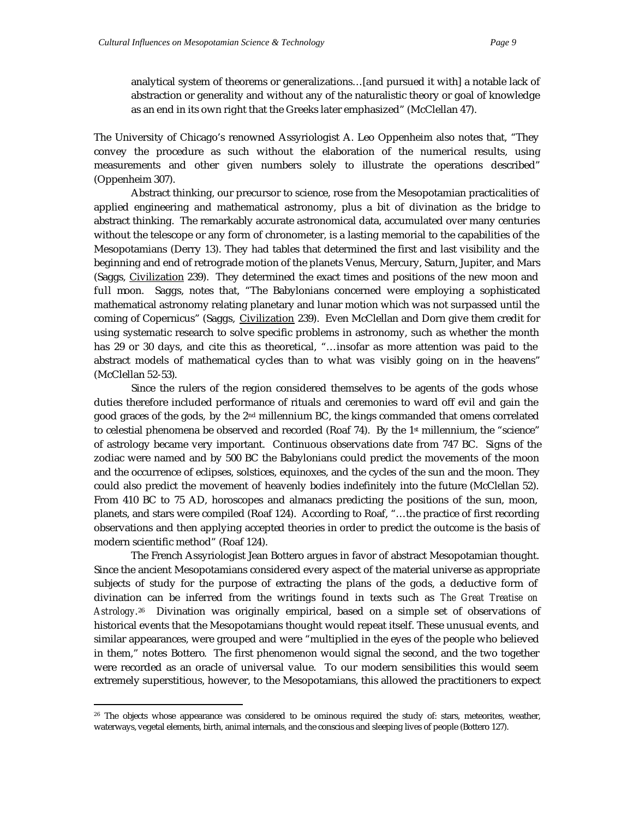analytical system of theorems or generalizations…[and pursued it with] a notable lack of abstraction or generality and without any of the naturalistic theory or goal of knowledge as an end in its own right that the Greeks later emphasized" (McClellan 47).

The University of Chicago's renowned Assyriologist A. Leo Oppenheim also notes that, "They convey the procedure as such without the elaboration of the numerical results, using measurements and other given numbers solely to illustrate the operations described" (Oppenheim 307).

Abstract thinking, our precursor to science, rose from the Mesopotamian practicalities of applied engineering and mathematical astronomy, plus a bit of divination as the bridge to abstract thinking. The remarkably accurate astronomical data, accumulated over many centuries without the telescope or any form of chronometer, is a lasting memorial to the capabilities of the Mesopotamians (Derry 13). They had tables that determined the first and last visibility and the beginning and end of retrograde motion of the planets Venus, Mercury, Saturn, Jupiter, and Mars (Saggs, Civilization 239). They determined the exact times and positions of the new moon and full moon. Saggs, notes that, "The Babylonians concerned were employing a sophisticated mathematical astronomy relating planetary and lunar motion which was not surpassed until the coming of Copernicus" (Saggs, Civilization 239). Even McClellan and Dorn give them credit for using systematic research to solve specific problems in astronomy, such as whether the month has 29 or 30 days, and cite this as theoretical, "...insofar as more attention was paid to the abstract models of mathematical cycles than to what was visibly going on in the heavens" (McClellan 52-53).

Since the rulers of the region considered themselves to be agents of the gods whose duties therefore included performance of rituals and ceremonies to ward off evil and gain the good graces of the gods, by the  $2<sup>nd</sup>$  millennium BC, the kings commanded that omens correlated to celestial phenomena be observed and recorded (Roaf 74). By the  $1<sup>{st}</sup>$  millennium, the "science" of astrology became very important. Continuous observations date from 747 BC. Signs of the zodiac were named and by 500 BC the Babylonians could predict the movements of the moon and the occurrence of eclipses, solstices, equinoxes, and the cycles of the sun and the moon. They could also predict the movement of heavenly bodies indefinitely into the future (McClellan 52). From 410 BC to 75 AD, horoscopes and almanacs predicting the positions of the sun, moon, planets, and stars were compiled (Roaf 124). According to Roaf, "…the practice of first recording observations and then applying accepted theories in order to predict the outcome is the basis of modern scientific method" (Roaf 124).

The French Assyriologist Jean Bottero argues in favor of abstract Mesopotamian thought. Since the ancient Mesopotamians considered every aspect of the material universe as appropriate subjects of study for the purpose of extracting the plans of the gods, a deductive form of divination can be inferred from the writings found in texts such as *The Great Treatise on Astrology*. <sup>26</sup> Divination was originally empirical, based on a simple set of observations of historical events that the Mesopotamians thought would repeat itself. These unusual events, and similar appearances, were grouped and were "multiplied in the eyes of the people who believed in them," notes Bottero. The first phenomenon would signal the second, and the two together were recorded as an oracle of universal value. To our modern sensibilities this would seem extremely superstitious, however, to the Mesopotamians, this allowed the practitioners to expect

<sup>&</sup>lt;sup>26</sup> The objects whose appearance was considered to be ominous required the study of: stars, meteorites, weather, waterways, vegetal elements, birth, animal internals, and the conscious and sleeping lives of people (Bottero 127).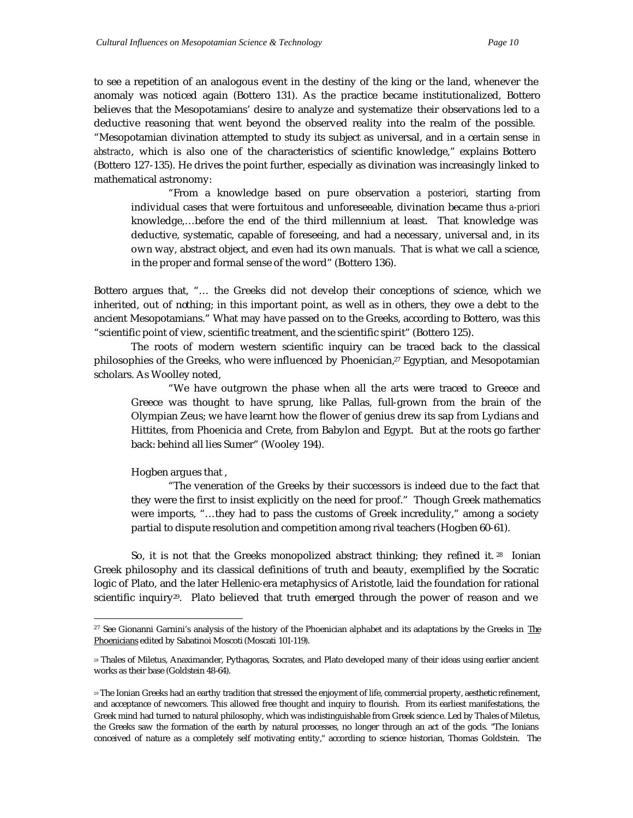to see a repetition of an analogous event in the destiny of the king or the land, whenever the anomaly was noticed again (Bottero 131). As the practice became institutionalized, Bottero believes that the Mesopotamians' desire to analyze and systematize their observations led to a deductive reasoning that went beyond the observed reality into the realm of the possible. "Mesopotamian divination attempted to study its subject as universal, and in a certain sense *in abstracto*, which is also one of the characteristics of scientific knowledge," explains Bottero (Bottero 127-135). He drives the point further, especially as divination was increasingly linked to mathematical astronomy:

"From a knowledge based on pure observation *a posteriori*, starting from individual cases that were fortuitous and unforeseeable, divination became thus *a-priori* knowledge,…before the end of the third millennium at least. That knowledge was deductive, systematic, capable of foreseeing, and had a necessary, universal and, in its own way, abstract object, and even had its own manuals. That is what we call a science, in the proper and formal sense of the word" (Bottero 136).

Bottero argues that, "… the Greeks did not develop their conceptions of science, which we inherited, out of nothing; in this important point, as well as in others, they owe a debt to the ancient Mesopotamians." What may have passed on to the Greeks, according to Bottero, was this "scientific point of view, scientific treatment, and the scientific spirit" (Bottero 125).

The roots of modern western scientific inquiry can be traced back to the classical philosophies of the Greeks, who were influenced by Phoenician,<sup>27</sup> Egyptian, and Mesopotamian scholars. As Woolley noted,

"We have outgrown the phase when all the arts were traced to Greece and Greece was thought to have sprung, like Pallas, full-grown from the brain of the Olympian Zeus; we have learnt how the flower of genius drew its sap from Lydians and Hittites, from Phoenicia and Crete, from Babylon and Egypt. But at the roots go farther back: behind all lies Sumer" (Wooley 194).

Hogben argues that ,

 $\overline{a}$ 

"The veneration of the Greeks by their successors is indeed due to the fact that they were the first to insist explicitly on the need for proof." Though Greek mathematics were imports, "…they had to pass the customs of Greek incredulity," among a society partial to dispute resolution and competition among rival teachers (Hogben 60-61).

So, it is not that the Greeks monopolized abstract thinking; they refined it. 28 Ionian Greek philosophy and its classical definitions of truth and beauty, exemplified by the Socratic logic of Plato, and the later Hellenic-era metaphysics of Aristotle, laid the foundation for rational scientific inquiry<sup>29</sup>. Plato believed that truth emerged through the power of reason and we

<sup>&</sup>lt;sup>27</sup> See Gionanni Garnini's analysis of the history of the Phoenician alphabet and its adaptations by the Greeks in The Phoenicians edited by Sabatinoi Moscoti (Moscati 101-119).

<sup>28</sup> Thales of Miletus, Anaximander, Pythagoras, Socrates, and Plato developed many of their ideas using earlier ancient works as their base (Goldstein 48-64).

<sup>29</sup> The Ionian Greeks had an earthy tradition that stressed the enjoyment of life, commercial property, aesthetic refinement, and acceptance of newcomers. This allowed free thought and inquiry to flourish. From its earliest manifestations, the Greek mind had turned to natural philosophy, which was indistinguishable from Greek scienc e. Led by Thales of Miletus, the Greeks saw the formation of the earth by natural processes, no longer through an act of the gods. "The Ionians conceived of nature as a completely self motivating entity," according to science historian, Thomas Goldstein. The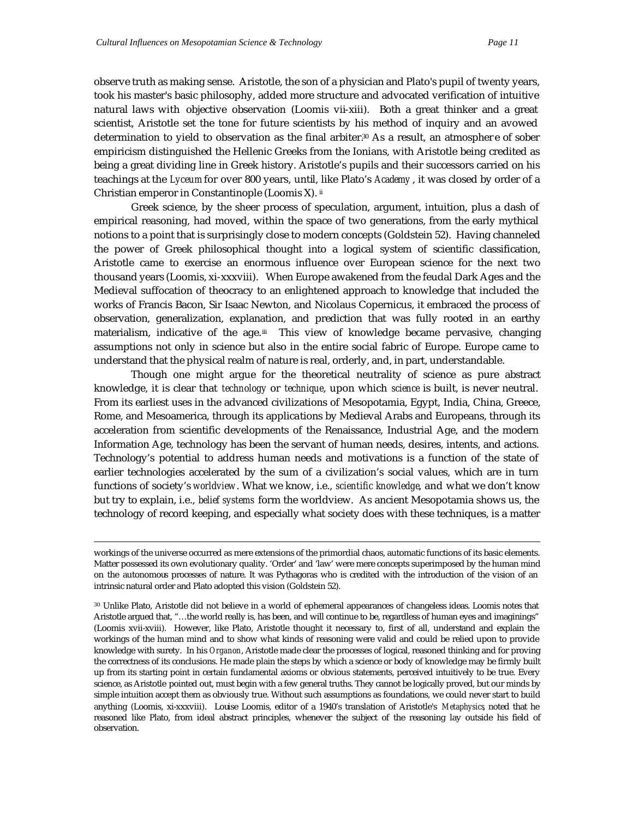observe truth as making sense. Aristotle, the son of a physician and Plato's pupil of twenty years, took his master's basic philosophy, added more structure and advocated verification of intuitive natural laws with objective observation (Loomis vii-xiii). Both a great thinker and a great scientist, Aristotle set the tone for future scientists by his method of inquiry and an avowed determination to yield to observation as the final arbiter.30 As a result, an atmospher e of sober empiricism distinguished the Hellenic Greeks from the Ionians, with Aristotle being credited as being a great dividing line in Greek history. Aristotle's pupils and their successors carried on his teachings at the *Lyceum* for over 800 years, until, like Plato's *Academy* , it was closed by order of a Christian emperor in Constantinople (Loomis X). ii

Greek science, by the sheer process of speculation, argument, intuition, plus a dash of empirical reasoning, had moved, within the space of two generations, from the early mythical notions to a point that is surprisingly close to modern concepts (Goldstein 52). Having channeled the power of Greek philosophical thought into a logical system of scientific classification, Aristotle came to exercise an enormous influence over European science for the next two thousand years (Loomis, xi-xxxviii). When Europe awakened from the feudal Dark Ages and the Medieval suffocation of theocracy to an enlightened approach to knowledge that included the works of Francis Bacon, Sir Isaac Newton, and Nicolaus Copernicus, it embraced the process of observation, generalization, explanation, and prediction that was fully rooted in an earthy materialism, indicative of the age.<sup>ii</sup> This view of knowledge became pervasive, changing assumptions not only in science but also in the entire social fabric of Europe. Europe came to understand that the physical realm of nature is real, orderly, and, in part, understandable.

Though one might argue for the theoretical neutrality of science as pure abstract knowledge, it is clear that *technology* or *technique*, upon which *science* is built, is never neutral. From its earliest uses in the advanced civilizations of Mesopotamia, Egypt, India, China, Greece, Rome, and Mesoamerica, through its applications by Medieval Arabs and Europeans, through its acceleration from scientific developments of the Renaissance, Industrial Age, and the modern Information Age, technology has been the servant of human needs, desires, intents, and actions. Technology's potential to address human needs and motivations is a function of the state of earlier technologies accelerated by the sum of a civilization's social values, which are in turn functions of society's *worldview*. What we know, i.e., *scientific knowledge*, and what we don't know but try to explain, i.e., *belief systems* form the worldview. As ancient Mesopotamia shows us, the technology of record keeping, and especially what society does with these techniques, is a matter

workings of the universe occurred as mere extensions of the primordial chaos, automatic functions of its basic elements. Matter possessed its own evolutionary quality. 'Order' and 'law' were mere concepts superimposed by the human mind on the autonomous processes of nature. It was Pythagoras who is credited with the introduction of the vision of an intrinsic natural order and Plato adopted this vision (Goldstein 52).

<sup>30</sup> Unlike Plato, Aristotle did not believe in a world of ephemeral appearances of changeless ideas. Loomis notes that Aristotle argued that, "…the world really is, has been, and will continue to be, regardless of human eyes and imaginings" (Loomis xvii-xviii). However, like Plato, Aristotle thought it necessary to, first of all, understand and explain the workings of the human mind and to show what kinds of reasoning were valid and could be relied upon to provide knowledge with surety. In his *Organon*, Aristotle made clear the processes of logical, reasoned thinking and for proving the correctness of its conclusions. He made plain the steps by which a science or body of knowledge may be firmly built up from its starting point in certain fundamental axioms or obvious statements, perceived intuitively to be true. Every science, as Aristotle pointed out, must begin with a few general truths. They cannot be logically proved, but our minds by simple intuition accept them as obviously true. Without such assumptions as foundations, we could never start to build anything (Loomis, xi-xxxviii). Louise Loomis, editor of a 1940's translation of Aristotle's *Metaphysics*, noted that he reasoned like Plato, from ideal abstract principles, whenever the subject of the reasoning lay outside his field of observation.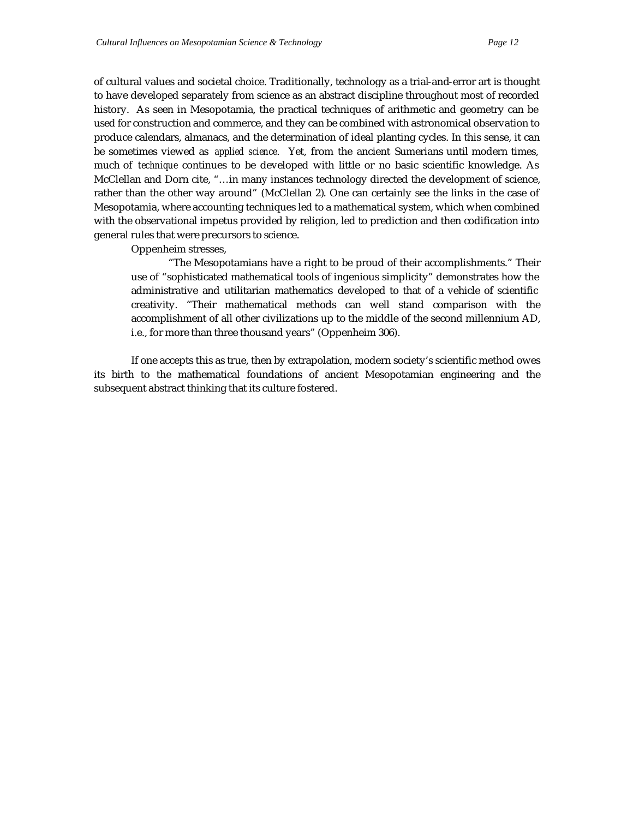of cultural values and societal choice. Traditionally, technology as a trial-and-error art is thought to have developed separately from science as an abstract discipline throughout most of recorded history. As seen in Mesopotamia, the practical techniques of arithmetic and geometry can be used for construction and commerce, and they can be combined with astronomical observation to produce calendars, almanacs, and the determination of ideal planting cycles. In this sense, it can be sometimes viewed as *applied science*. Yet, from the ancient Sumerians until modern times, much of *technique* continues to be developed with little or no basic scientific knowledge. As McClellan and Dorn cite, "…in many instances technology directed the development of science, rather than the other way around" (McClellan 2). One can certainly see the links in the case of Mesopotamia, where accounting techniques led to a mathematical system, which when combined with the observational impetus provided by religion, led to prediction and then codification into general rules that were precursors to science.

Oppenheim stresses,

"The Mesopotamians have a right to be proud of their accomplishments." Their use of "sophisticated mathematical tools of ingenious simplicity" demonstrates how the administrative and utilitarian mathematics developed to that of a vehicle of scientific creativity. "Their mathematical methods can well stand comparison with the accomplishment of all other civilizations up to the middle of the second millennium AD, i.e., for more than three thousand years" (Oppenheim 306).

If one accepts this as true, then by extrapolation, modern society's scientific method owes its birth to the mathematical foundations of ancient Mesopotamian engineering and the subsequent abstract thinking that its culture fostered.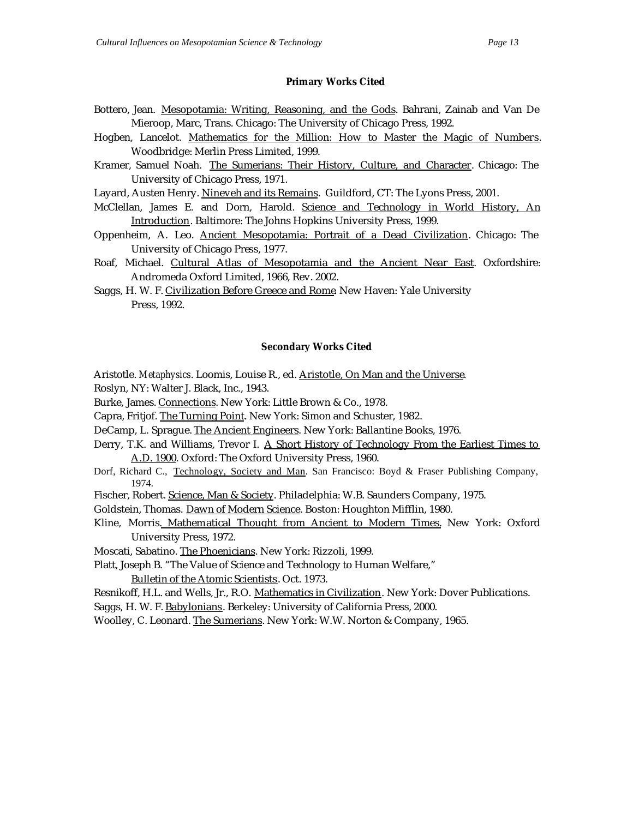## **Primary Works Cited**

- Bottero, Jean. Mesopotamia: Writing, Reasoning, and the Gods. Bahrani, Zainab and Van De Mieroop, Marc, Trans. Chicago: The University of Chicago Press, 1992.
- Hogben, Lancelot. Mathematics for the Million: How to Master the Magic of Numbers. Woodbridge: Merlin Press Limited, 1999.
- Kramer, Samuel Noah. The Sumerians: Their History, Culture, and Character. Chicago: The University of Chicago Press, 1971.
- Layard, Austen Henry. Nineveh and its Remains. Guildford, CT: The Lyons Press, 2001.
- McClellan, James E. and Dorn, Harold. Science and Technology in World History, An Introduction. Baltimore: The Johns Hopkins University Press, 1999.
- Oppenheim, A. Leo. Ancient Mesopotamia: Portrait of a Dead Civilization. Chicago: The University of Chicago Press, 1977.
- Roaf, Michael. Cultural Atlas of Mesopotamia and the Ancient Near East. Oxfordshire: Andromeda Oxford Limited, 1966, Rev. 2002.
- Saggs, H. W. F. Civilization Before Greece and Rome. New Haven: Yale University Press, 1992.

## **Secondary Works Cited**

- Aristotle. *Metaphysics*. Loomis, Louise R., ed. Aristotle, On Man and the Universe.
- Roslyn, NY: Walter J. Black, Inc., 1943.
- Burke, James. Connections. New York: Little Brown & Co., 1978.
- Capra, Fritjof. The Turning Point. New York: Simon and Schuster, 1982.
- DeCamp, L. Sprague. The Ancient Engineers. New York: Ballantine Books, 1976.
- Derry, T.K. and Williams, Trevor I. A Short History of Technology From the Earliest Times to A.D. 1900. Oxford: The Oxford University Press, 1960.
- Dorf, Richard C., Technology, Society and Man. San Francisco: Boyd & Fraser Publishing Company, 1974.
- Fischer, Robert. Science, Man & Society. Philadelphia: W.B. Saunders Company, 1975.
- Goldstein, Thomas. Dawn of Modern Science. Boston: Houghton Mifflin, 1980.
- Kline, Morris. Mathematical Thought from Ancient to Modern Times. New York: Oxford University Press, 1972.
- Moscati, Sabatino. The Phoenicians. New York: Rizzoli, 1999.

Platt, Joseph B. "The Value of Science and Technology to Human Welfare," Bulletin of the Atomic Scientists. Oct. 1973.

Resnikoff, H.L. and Wells, Jr., R.O. Mathematics in Civilization. New York: Dover Publications.

Saggs, H. W. F. Babylonians. Berkeley: University of California Press, 2000.

Woolley, C. Leonard. The Sumerians. New York: W.W. Norton & Company, 1965.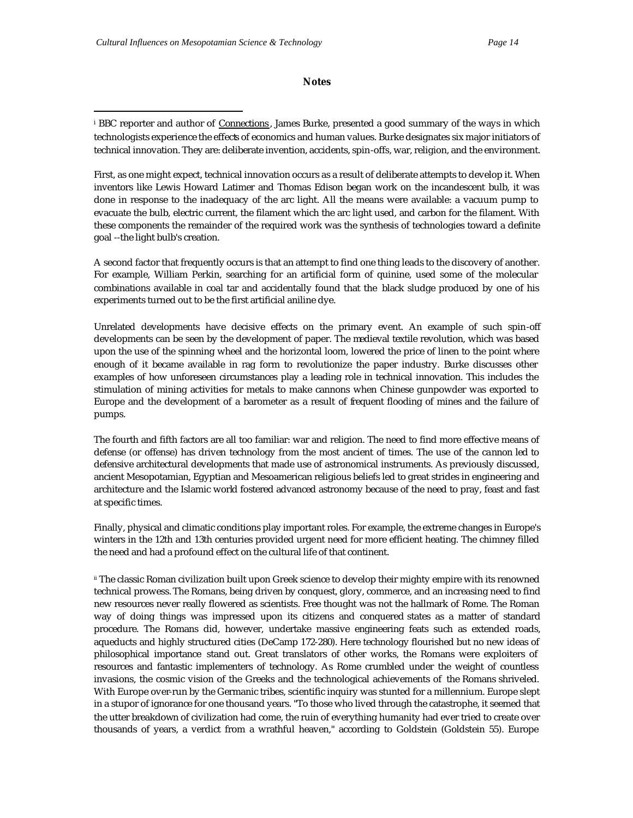## **Notes**

<sup>i</sup> BBC reporter and author of *Connections*, James Burke, presented a good summary of the ways in which technologists experience the effects of economics and human values. Burke designates six major initiators of technical innovation. They are: deliberate invention, accidents, spin-offs, war, religion, and the environment.

First, as one might expect, technical innovation occurs as a result of deliberate attempts to develop it. When inventors like Lewis Howard Latimer and Thomas Edison began work on the incandescent bulb, it was done in response to the inadequacy of the arc light. All the means were available: a vacuum pump to evacuate the bulb, electric current, the filament which the arc light used, and carbon for the filament. With these components the remainder of the required work was the synthesis of technologies toward a definite goal --the light bulb's creation.

A second factor that frequently occurs is that an attempt to find one thing leads to the discovery of another. For example, William Perkin, searching for an artificial form of quinine, used some of the molecular combinations available in coal tar and accidentally found that the black sludge produced by one of his experiments turned out to be the first artificial aniline dye.

Unrelated developments have decisive effects on the primary event. An example of such spin-off developments can be seen by the development of paper. The medieval textile revolution, which was based upon the use of the spinning wheel and the horizontal loom, lowered the price of linen to the point where enough of it became available in rag form to revolutionize the paper industry. Burke discusses other examples of how unforeseen circumstances play a leading role in technical innovation. This includes the stimulation of mining activities for metals to make cannons when Chinese gunpowder was exported to Europe and the development of a barometer as a result of frequent flooding of mines and the failure of pumps.

The fourth and fifth factors are all too familiar: war and religion. The need to find more effective means of defense (or offense) has driven technology from the most ancient of times. The use of the cannon led to defensive architectural developments that made use of astronomical instruments. As previously discussed, ancient Mesopotamian, Egyptian and Mesoamerican religious beliefs led to great strides in engineering and architecture and the Islamic world fostered advanced astronomy because of the need to pray, feast and fast at specific times.

Finally, physical and climatic conditions play important roles. For example, the extreme changes in Europe's winters in the 12th and 13th centuries provided urgent need for more efficient heating. The chimney filled the need and had a profound effect on the cultural life of that continent.

ii The classic Roman civilization built upon Greek science to develop their mighty empire with its renowned technical prowess. The Romans, being driven by conquest, glory, commerce, and an increasing need to find new resources never really flowered as scientists. Free thought was not the hallmark of Rome. The Roman way of doing things was impressed upon its citizens and conquered states as a matter of standard procedure. The Romans did, however, undertake massive engineering feats such as extended roads, aqueducts and highly structured cities (DeCamp 172-280). Here technology flourished but no new ideas of philosophical importance stand out. Great translators of other works, the Romans were exploiters of resources and fantastic implementers of technology. As Rome crumbled under the weight of countless invasions, the cosmic vision of the Greeks and the technological achievements of the Romans shriveled. With Europe over-run by the Germanic tribes, scientific inquiry was stunted for a millennium. Europe slept in a stupor of ignorance for one thousand years. "To those who lived through the catastrophe, it seemed that the utter breakdown of civilization had come, the ruin of everything humanity had ever tried to create over thousands of years, a verdict from a wrathful heaven," according to Goldstein (Goldstein 55). Europe